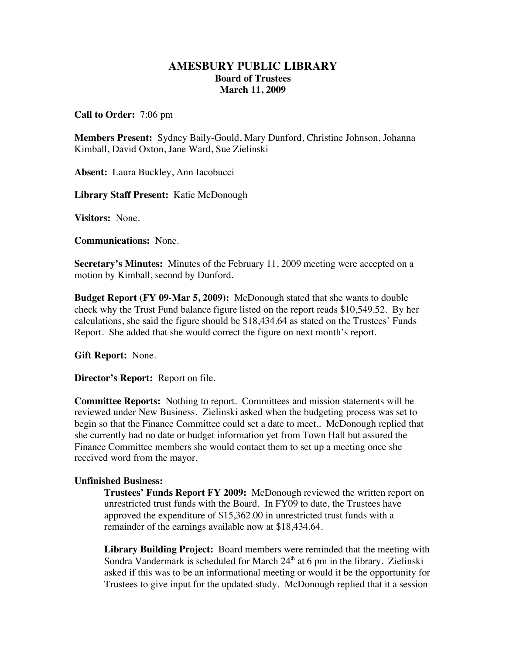## **AMESBURY PUBLIC LIBRARY Board of Trustees March 11, 2009**

**Call to Order:** 7:06 pm

**Members Present:** Sydney Baily-Gould, Mary Dunford, Christine Johnson, Johanna Kimball, David Oxton, Jane Ward, Sue Zielinski

**Absent:** Laura Buckley, Ann Iacobucci

**Library Staff Present:** Katie McDonough

**Visitors:** None.

**Communications:** None.

**Secretary's Minutes:** Minutes of the February 11, 2009 meeting were accepted on a motion by Kimball, second by Dunford.

**Budget Report (FY 09-Mar 5, 2009):** McDonough stated that she wants to double check why the Trust Fund balance figure listed on the report reads \$10,549.52. By her calculations, she said the figure should be \$18,434.64 as stated on the Trustees' Funds Report. She added that she would correct the figure on next month's report.

**Gift Report:** None.

**Director's Report:** Report on file.

**Committee Reports:** Nothing to report. Committees and mission statements will be reviewed under New Business. Zielinski asked when the budgeting process was set to begin so that the Finance Committee could set a date to meet.. McDonough replied that she currently had no date or budget information yet from Town Hall but assured the Finance Committee members she would contact them to set up a meeting once she received word from the mayor.

## **Unfinished Business:**

**Trustees' Funds Report FY 2009:** McDonough reviewed the written report on unrestricted trust funds with the Board. In FY09 to date, the Trustees have approved the expenditure of \$15,362.00 in unrestricted trust funds with a remainder of the earnings available now at \$18,434.64.

**Library Building Project:** Board members were reminded that the meeting with Sondra Vandermark is scheduled for March  $24<sup>th</sup>$  at 6 pm in the library. Zielinski asked if this was to be an informational meeting or would it be the opportunity for Trustees to give input for the updated study. McDonough replied that it a session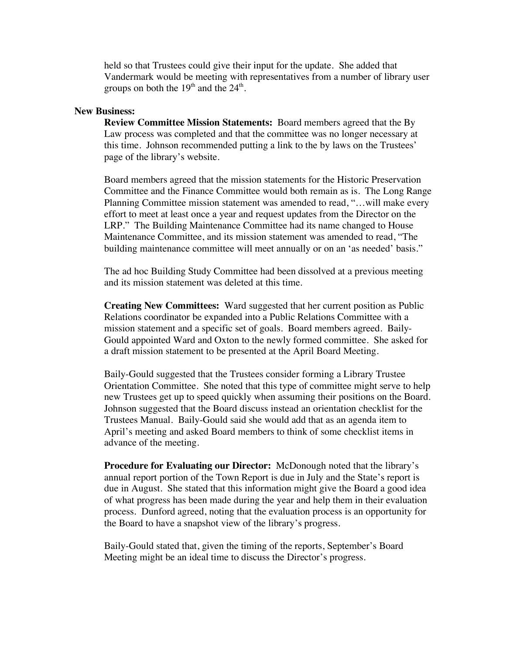held so that Trustees could give their input for the update. She added that Vandermark would be meeting with representatives from a number of library user groups on both the  $19<sup>th</sup>$  and the  $24<sup>th</sup>$ .

## **New Business:**

**Review Committee Mission Statements:** Board members agreed that the By Law process was completed and that the committee was no longer necessary at this time. Johnson recommended putting a link to the by laws on the Trustees' page of the library's website.

Board members agreed that the mission statements for the Historic Preservation Committee and the Finance Committee would both remain as is. The Long Range Planning Committee mission statement was amended to read, "…will make every effort to meet at least once a year and request updates from the Director on the LRP." The Building Maintenance Committee had its name changed to House Maintenance Committee, and its mission statement was amended to read, "The building maintenance committee will meet annually or on an 'as needed' basis."

The ad hoc Building Study Committee had been dissolved at a previous meeting and its mission statement was deleted at this time.

**Creating New Committees:** Ward suggested that her current position as Public Relations coordinator be expanded into a Public Relations Committee with a mission statement and a specific set of goals. Board members agreed. Baily-Gould appointed Ward and Oxton to the newly formed committee. She asked for a draft mission statement to be presented at the April Board Meeting.

Baily-Gould suggested that the Trustees consider forming a Library Trustee Orientation Committee. She noted that this type of committee might serve to help new Trustees get up to speed quickly when assuming their positions on the Board. Johnson suggested that the Board discuss instead an orientation checklist for the Trustees Manual. Baily-Gould said she would add that as an agenda item to April's meeting and asked Board members to think of some checklist items in advance of the meeting.

**Procedure for Evaluating our Director:** McDonough noted that the library's annual report portion of the Town Report is due in July and the State's report is due in August. She stated that this information might give the Board a good idea of what progress has been made during the year and help them in their evaluation process. Dunford agreed, noting that the evaluation process is an opportunity for the Board to have a snapshot view of the library's progress.

Baily-Gould stated that, given the timing of the reports, September's Board Meeting might be an ideal time to discuss the Director's progress.